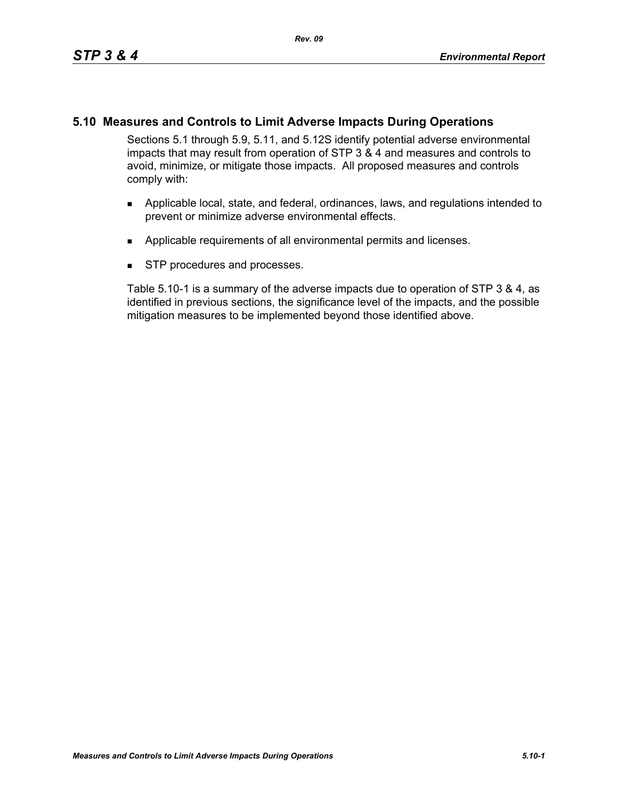# **5.10 Measures and Controls to Limit Adverse Impacts During Operations**

Sections 5.1 through 5.9, 5.11, and 5.12S identify potential adverse environmental impacts that may result from operation of STP 3 & 4 and measures and controls to avoid, minimize, or mitigate those impacts. All proposed measures and controls comply with:

- **Applicable local, state, and federal, ordinances, laws, and regulations intended to** prevent or minimize adverse environmental effects.
- **Applicable requirements of all environmental permits and licenses.**
- **STP** procedures and processes.

Table 5.10-1 is a summary of the adverse impacts due to operation of STP 3 & 4, as identified in previous sections, the significance level of the impacts, and the possible mitigation measures to be implemented beyond those identified above.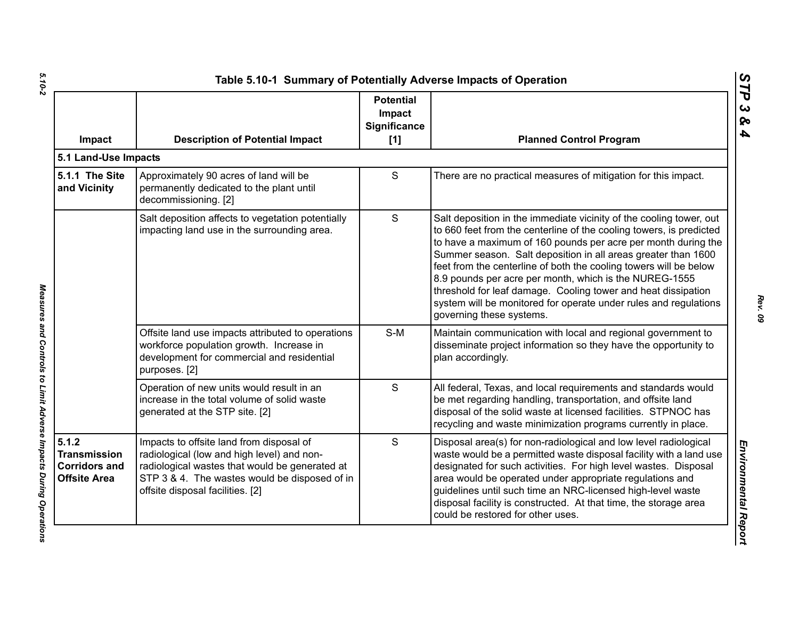| Impact                                                                      | <b>Description of Potential Impact</b>                                                                                                                                                                                        | <b>Potential</b><br>Impact<br><b>Significance</b><br>[1] | <b>Planned Control Program</b>                                                                                                                                                                                                                                                                                                                                                                                                                                                                                                                                               |
|-----------------------------------------------------------------------------|-------------------------------------------------------------------------------------------------------------------------------------------------------------------------------------------------------------------------------|----------------------------------------------------------|------------------------------------------------------------------------------------------------------------------------------------------------------------------------------------------------------------------------------------------------------------------------------------------------------------------------------------------------------------------------------------------------------------------------------------------------------------------------------------------------------------------------------------------------------------------------------|
| 5.1 Land-Use Impacts                                                        |                                                                                                                                                                                                                               |                                                          |                                                                                                                                                                                                                                                                                                                                                                                                                                                                                                                                                                              |
| 5.1.1 The Site<br>and Vicinity                                              | Approximately 90 acres of land will be<br>permanently dedicated to the plant until<br>decommissioning. [2]                                                                                                                    | $\mathsf{S}$                                             | There are no practical measures of mitigation for this impact.                                                                                                                                                                                                                                                                                                                                                                                                                                                                                                               |
|                                                                             | Salt deposition affects to vegetation potentially<br>impacting land use in the surrounding area.                                                                                                                              | $\mathsf{S}$                                             | Salt deposition in the immediate vicinity of the cooling tower, out<br>to 660 feet from the centerline of the cooling towers, is predicted<br>to have a maximum of 160 pounds per acre per month during the<br>Summer season. Salt deposition in all areas greater than 1600<br>feet from the centerline of both the cooling towers will be below<br>8.9 pounds per acre per month, which is the NUREG-1555<br>threshold for leaf damage. Cooling tower and heat dissipation<br>system will be monitored for operate under rules and regulations<br>governing these systems. |
|                                                                             | Offsite land use impacts attributed to operations<br>workforce population growth. Increase in<br>development for commercial and residential<br>purposes. [2]                                                                  | $S-M$                                                    | Maintain communication with local and regional government to<br>disseminate project information so they have the opportunity to<br>plan accordingly.                                                                                                                                                                                                                                                                                                                                                                                                                         |
|                                                                             | Operation of new units would result in an<br>increase in the total volume of solid waste<br>generated at the STP site. [2]                                                                                                    | $\mathsf{S}$                                             | All federal, Texas, and local requirements and standards would<br>be met regarding handling, transportation, and offsite land<br>disposal of the solid waste at licensed facilities. STPNOC has<br>recycling and waste minimization programs currently in place.                                                                                                                                                                                                                                                                                                             |
| 5.1.2<br><b>Transmission</b><br><b>Corridors and</b><br><b>Offsite Area</b> | Impacts to offsite land from disposal of<br>radiological (low and high level) and non-<br>radiological wastes that would be generated at<br>STP 3 & 4. The wastes would be disposed of in<br>offsite disposal facilities. [2] | S                                                        | Disposal area(s) for non-radiological and low level radiological<br>waste would be a permitted waste disposal facility with a land use<br>designated for such activities. For high level wastes. Disposal<br>area would be operated under appropriate regulations and<br>guidelines until such time an NRC-licensed high-level waste<br>disposal facility is constructed. At that time, the storage area<br>could be restored for other uses.                                                                                                                                |

Measures and Controls to Limit Adverse Impacts During Operations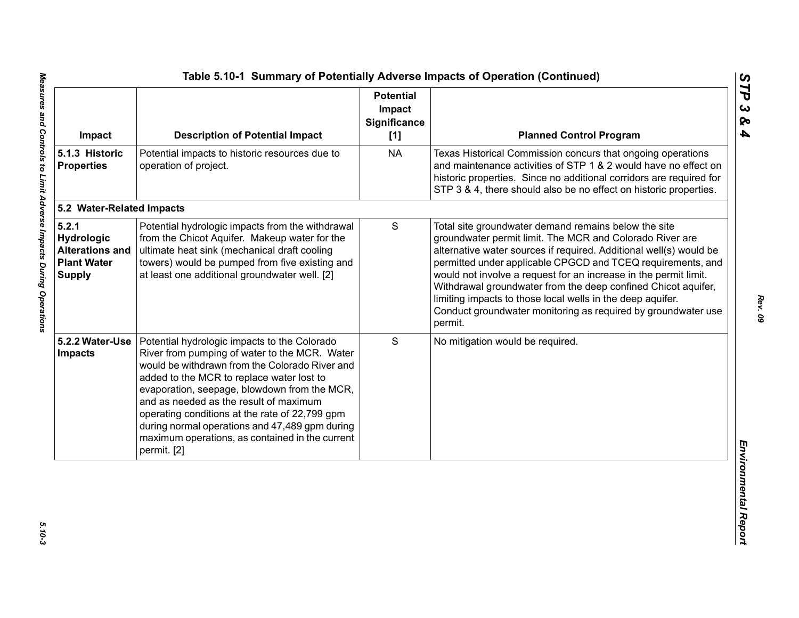| Impact                                                                               | <b>Description of Potential Impact</b>                                                                                                                                                                                                                                                                                                                                                                                                                       | <b>Potential</b><br>Impact<br>Significance<br>[1] | <b>Planned Control Program</b>                                                                                                                                                                                                                                                                                                                                                                                                                                                                                                       |
|--------------------------------------------------------------------------------------|--------------------------------------------------------------------------------------------------------------------------------------------------------------------------------------------------------------------------------------------------------------------------------------------------------------------------------------------------------------------------------------------------------------------------------------------------------------|---------------------------------------------------|--------------------------------------------------------------------------------------------------------------------------------------------------------------------------------------------------------------------------------------------------------------------------------------------------------------------------------------------------------------------------------------------------------------------------------------------------------------------------------------------------------------------------------------|
| 5.1.3 Historic<br><b>Properties</b>                                                  | Potential impacts to historic resources due to<br>operation of project.                                                                                                                                                                                                                                                                                                                                                                                      | <b>NA</b>                                         | Texas Historical Commission concurs that ongoing operations<br>and maintenance activities of STP 1 & 2 would have no effect on<br>historic properties. Since no additional corridors are required for<br>STP 3 & 4, there should also be no effect on historic properties.                                                                                                                                                                                                                                                           |
| 5.2 Water-Related Impacts                                                            |                                                                                                                                                                                                                                                                                                                                                                                                                                                              |                                                   |                                                                                                                                                                                                                                                                                                                                                                                                                                                                                                                                      |
| 5.2.1<br>Hydrologic<br><b>Alterations and</b><br><b>Plant Water</b><br><b>Supply</b> | Potential hydrologic impacts from the withdrawal<br>from the Chicot Aquifer. Makeup water for the<br>ultimate heat sink (mechanical draft cooling<br>towers) would be pumped from five existing and<br>at least one additional groundwater well. [2]                                                                                                                                                                                                         | S                                                 | Total site groundwater demand remains below the site<br>groundwater permit limit. The MCR and Colorado River are<br>alternative water sources if required. Additional well(s) would be<br>permitted under applicable CPGCD and TCEQ requirements, and<br>would not involve a request for an increase in the permit limit.<br>Withdrawal groundwater from the deep confined Chicot aquifer,<br>limiting impacts to those local wells in the deep aquifer.<br>Conduct groundwater monitoring as required by groundwater use<br>permit. |
| 5.2.2 Water-Use<br>Impacts                                                           | Potential hydrologic impacts to the Colorado<br>River from pumping of water to the MCR. Water<br>would be withdrawn from the Colorado River and<br>added to the MCR to replace water lost to<br>evaporation, seepage, blowdown from the MCR,<br>and as needed as the result of maximum<br>operating conditions at the rate of 22,799 gpm<br>during normal operations and 47,489 gpm during<br>maximum operations, as contained in the current<br>permit. [2] | S                                                 | No mitigation would be required.                                                                                                                                                                                                                                                                                                                                                                                                                                                                                                     |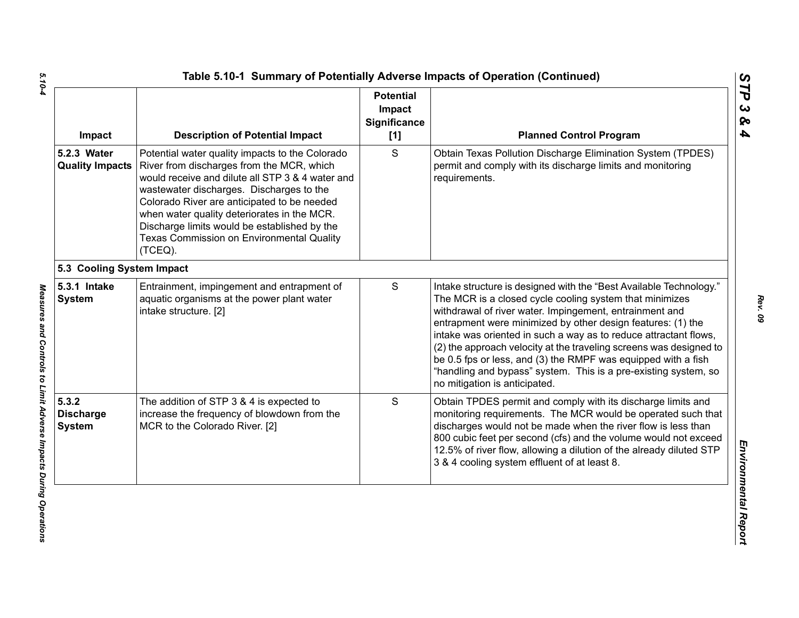| Impact                                     | <b>Description of Potential Impact</b>                                                                                                                                                                                                                                                                                                                                                             | <b>Potential</b><br>Impact<br>Significance<br>$[1]$ | <b>Planned Control Program</b>                                                                                                                                                                                                                                                                                                                                                                                                                                                                                                                                         |
|--------------------------------------------|----------------------------------------------------------------------------------------------------------------------------------------------------------------------------------------------------------------------------------------------------------------------------------------------------------------------------------------------------------------------------------------------------|-----------------------------------------------------|------------------------------------------------------------------------------------------------------------------------------------------------------------------------------------------------------------------------------------------------------------------------------------------------------------------------------------------------------------------------------------------------------------------------------------------------------------------------------------------------------------------------------------------------------------------------|
| 5.2.3 Water<br><b>Quality Impacts</b>      | Potential water quality impacts to the Colorado<br>River from discharges from the MCR, which<br>would receive and dilute all STP 3 & 4 water and<br>wastewater discharges. Discharges to the<br>Colorado River are anticipated to be needed<br>when water quality deteriorates in the MCR.<br>Discharge limits would be established by the<br>Texas Commission on Environmental Quality<br>(TCEQ). | S                                                   | Obtain Texas Pollution Discharge Elimination System (TPDES)<br>permit and comply with its discharge limits and monitoring<br>requirements.                                                                                                                                                                                                                                                                                                                                                                                                                             |
| 5.3 Cooling System Impact                  |                                                                                                                                                                                                                                                                                                                                                                                                    |                                                     |                                                                                                                                                                                                                                                                                                                                                                                                                                                                                                                                                                        |
| 5.3.1 Intake<br><b>System</b>              | Entrainment, impingement and entrapment of<br>aquatic organisms at the power plant water<br>intake structure. [2]                                                                                                                                                                                                                                                                                  | S                                                   | Intake structure is designed with the "Best Available Technology."<br>The MCR is a closed cycle cooling system that minimizes<br>withdrawal of river water. Impingement, entrainment and<br>entrapment were minimized by other design features: (1) the<br>intake was oriented in such a way as to reduce attractant flows,<br>(2) the approach velocity at the traveling screens was designed to<br>be 0.5 fps or less, and (3) the RMPF was equipped with a fish<br>"handling and bypass" system. This is a pre-existing system, so<br>no mitigation is anticipated. |
| 5.3.2<br><b>Discharge</b><br><b>System</b> | The addition of STP 3 & 4 is expected to<br>increase the frequency of blowdown from the<br>MCR to the Colorado River. [2]                                                                                                                                                                                                                                                                          | S                                                   | Obtain TPDES permit and comply with its discharge limits and<br>monitoring requirements. The MCR would be operated such that<br>discharges would not be made when the river flow is less than<br>800 cubic feet per second (cfs) and the volume would not exceed<br>12.5% of river flow, allowing a dilution of the already diluted STP<br>3 & 4 cooling system effluent of at least 8.                                                                                                                                                                                |

*STP 3 & 4*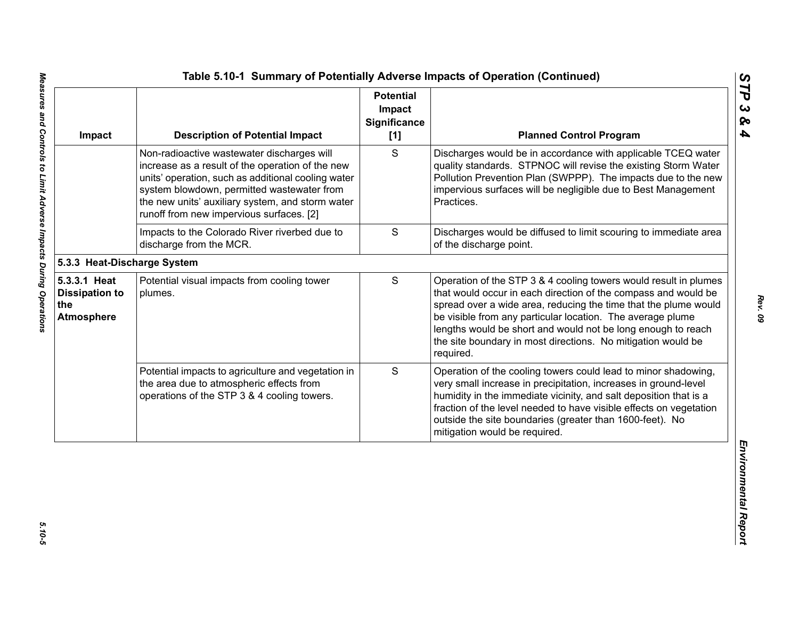| Impact                                                            | <b>Description of Potential Impact</b>                                                                                                                                                                                                                                                             | <b>Potential</b><br>Impact<br><b>Significance</b><br>[1] | <b>Planned Control Program</b>                                                                                                                                                                                                                                                                                                                                                                                   |
|-------------------------------------------------------------------|----------------------------------------------------------------------------------------------------------------------------------------------------------------------------------------------------------------------------------------------------------------------------------------------------|----------------------------------------------------------|------------------------------------------------------------------------------------------------------------------------------------------------------------------------------------------------------------------------------------------------------------------------------------------------------------------------------------------------------------------------------------------------------------------|
|                                                                   | Non-radioactive wastewater discharges will<br>increase as a result of the operation of the new<br>units' operation, such as additional cooling water<br>system blowdown, permitted wastewater from<br>the new units' auxiliary system, and storm water<br>runoff from new impervious surfaces. [2] | S                                                        | Discharges would be in accordance with applicable TCEQ water<br>quality standards. STPNOC will revise the existing Storm Water<br>Pollution Prevention Plan (SWPPP). The impacts due to the new<br>impervious surfaces will be negligible due to Best Management<br>Practices.                                                                                                                                   |
|                                                                   | Impacts to the Colorado River riverbed due to<br>discharge from the MCR.                                                                                                                                                                                                                           | $\mathbf S$                                              | Discharges would be diffused to limit scouring to immediate area<br>of the discharge point.                                                                                                                                                                                                                                                                                                                      |
| 5.3.3 Heat-Discharge System                                       |                                                                                                                                                                                                                                                                                                    |                                                          |                                                                                                                                                                                                                                                                                                                                                                                                                  |
| 5.3.3.1 Heat<br><b>Dissipation to</b><br>the<br><b>Atmosphere</b> | Potential visual impacts from cooling tower<br>plumes.                                                                                                                                                                                                                                             | S                                                        | Operation of the STP 3 & 4 cooling towers would result in plumes<br>that would occur in each direction of the compass and would be<br>spread over a wide area, reducing the time that the plume would<br>be visible from any particular location. The average plume<br>lengths would be short and would not be long enough to reach<br>the site boundary in most directions. No mitigation would be<br>required. |
|                                                                   | Potential impacts to agriculture and vegetation in<br>the area due to atmospheric effects from<br>operations of the STP 3 & 4 cooling towers.                                                                                                                                                      | S                                                        | Operation of the cooling towers could lead to minor shadowing,<br>very small increase in precipitation, increases in ground-level<br>humidity in the immediate vicinity, and salt deposition that is a<br>fraction of the level needed to have visible effects on vegetation<br>outside the site boundaries (greater than 1600-feet). No<br>mitigation would be required.                                        |

 $5.10 - 5$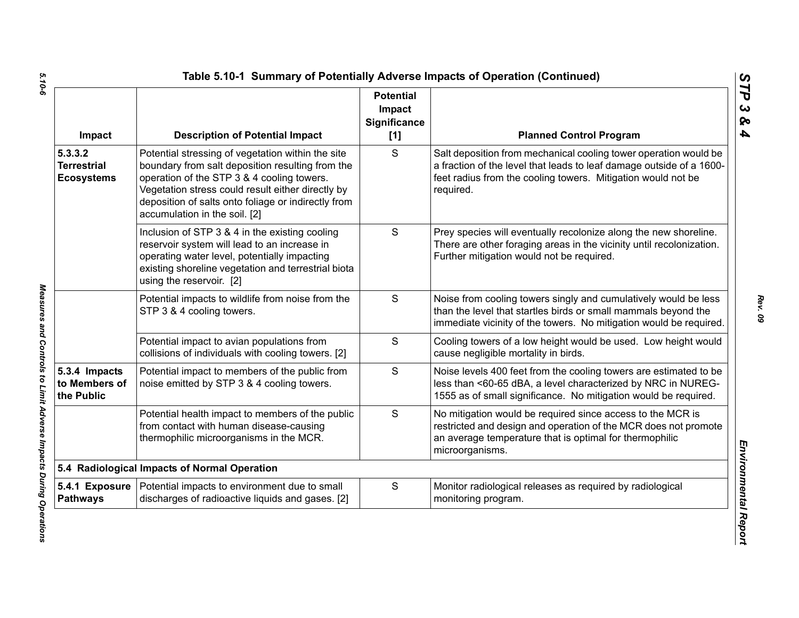| Impact                                             | <b>Description of Potential Impact</b>                                                                                                                                                                                                                                                           | <b>Potential</b><br>Impact<br><b>Significance</b><br>[1] | <b>Planned Control Program</b>                                                                                                                                                                                        |
|----------------------------------------------------|--------------------------------------------------------------------------------------------------------------------------------------------------------------------------------------------------------------------------------------------------------------------------------------------------|----------------------------------------------------------|-----------------------------------------------------------------------------------------------------------------------------------------------------------------------------------------------------------------------|
| 5.3.3.2<br><b>Terrestrial</b><br><b>Ecosystems</b> | Potential stressing of vegetation within the site<br>boundary from salt deposition resulting from the<br>operation of the STP 3 & 4 cooling towers.<br>Vegetation stress could result either directly by<br>deposition of salts onto foliage or indirectly from<br>accumulation in the soil. [2] | S                                                        | Salt deposition from mechanical cooling tower operation would be<br>a fraction of the level that leads to leaf damage outside of a 1600-<br>feet radius from the cooling towers. Mitigation would not be<br>required. |
|                                                    | Inclusion of STP 3 & 4 in the existing cooling<br>reservoir system will lead to an increase in<br>operating water level, potentially impacting<br>existing shoreline vegetation and terrestrial biota<br>using the reservoir. [2]                                                                | S                                                        | Prey species will eventually recolonize along the new shoreline.<br>There are other foraging areas in the vicinity until recolonization.<br>Further mitigation would not be required.                                 |
|                                                    | Potential impacts to wildlife from noise from the<br>STP 3 & 4 cooling towers.                                                                                                                                                                                                                   | S                                                        | Noise from cooling towers singly and cumulatively would be less<br>than the level that startles birds or small mammals beyond the<br>immediate vicinity of the towers. No mitigation would be required.               |
|                                                    | Potential impact to avian populations from<br>collisions of individuals with cooling towers. [2]                                                                                                                                                                                                 | S                                                        | Cooling towers of a low height would be used. Low height would<br>cause negligible mortality in birds.                                                                                                                |
| 5.3.4 Impacts<br>to Members of<br>the Public       | Potential impact to members of the public from<br>noise emitted by STP 3 & 4 cooling towers.                                                                                                                                                                                                     | S                                                        | Noise levels 400 feet from the cooling towers are estimated to be<br>less than <60-65 dBA, a level characterized by NRC in NUREG-<br>1555 as of small significance. No mitigation would be required.                  |
|                                                    | Potential health impact to members of the public<br>from contact with human disease-causing<br>thermophilic microorganisms in the MCR.                                                                                                                                                           | S                                                        | No mitigation would be required since access to the MCR is<br>restricted and design and operation of the MCR does not promote<br>an average temperature that is optimal for thermophilic<br>microorganisms.           |
|                                                    | 5.4 Radiological Impacts of Normal Operation                                                                                                                                                                                                                                                     |                                                          |                                                                                                                                                                                                                       |
| <b>Pathways</b>                                    | 5.4.1 Exposure   Potential impacts to environment due to small<br>discharges of radioactive liquids and gases. [2]                                                                                                                                                                               | S                                                        | Monitor radiological releases as required by radiological<br>monitoring program.                                                                                                                                      |

Measures and Controls to Limit Adverse Impacts During Operations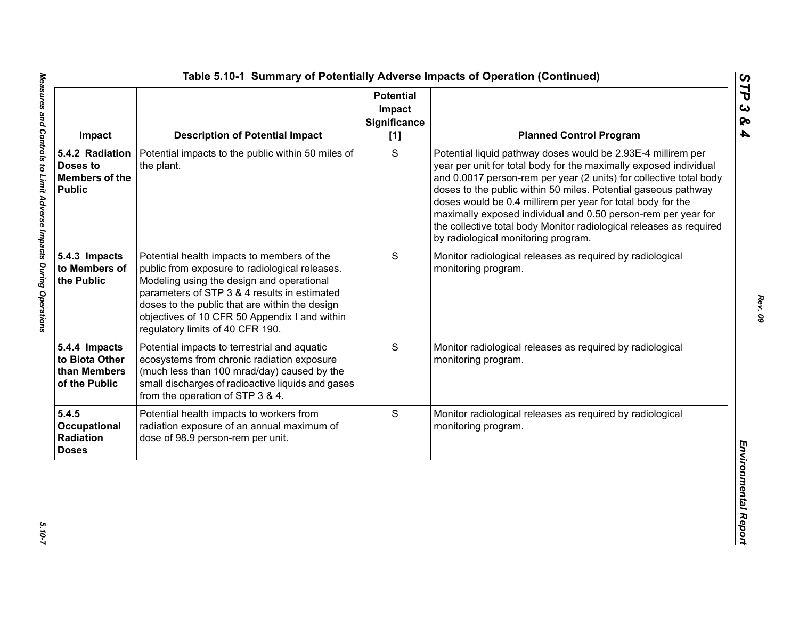| Impact                                                                | <b>Description of Potential Impact</b>                                                                                                                                                                                                                                                                                           | <b>Potential</b><br>Impact<br>Significance<br>[1] | <b>Planned Control Program</b>                                                                                                                                                                                                                                                                                                                                                                                                                                                                                          |
|-----------------------------------------------------------------------|----------------------------------------------------------------------------------------------------------------------------------------------------------------------------------------------------------------------------------------------------------------------------------------------------------------------------------|---------------------------------------------------|-------------------------------------------------------------------------------------------------------------------------------------------------------------------------------------------------------------------------------------------------------------------------------------------------------------------------------------------------------------------------------------------------------------------------------------------------------------------------------------------------------------------------|
| 5.4.2 Radiation<br>Doses to<br><b>Members of the</b><br><b>Public</b> | Potential impacts to the public within 50 miles of<br>the plant.                                                                                                                                                                                                                                                                 | S                                                 | Potential liquid pathway doses would be 2.93E-4 millirem per<br>year per unit for total body for the maximally exposed individual<br>and 0.0017 person-rem per year (2 units) for collective total body<br>doses to the public within 50 miles. Potential gaseous pathway<br>doses would be 0.4 millirem per year for total body for the<br>maximally exposed individual and 0.50 person-rem per year for<br>the collective total body Monitor radiological releases as required<br>by radiological monitoring program. |
| 5.4.3 Impacts<br>to Members of<br>the Public                          | Potential health impacts to members of the<br>public from exposure to radiological releases.<br>Modeling using the design and operational<br>parameters of STP 3 & 4 results in estimated<br>doses to the public that are within the design<br>objectives of 10 CFR 50 Appendix I and within<br>regulatory limits of 40 CFR 190. | S                                                 | Monitor radiological releases as required by radiological<br>monitoring program.                                                                                                                                                                                                                                                                                                                                                                                                                                        |
| 5.4.4 Impacts<br>to Biota Other<br>than Members<br>of the Public      | Potential impacts to terrestrial and aquatic<br>ecosystems from chronic radiation exposure<br>(much less than 100 mrad/day) caused by the<br>small discharges of radioactive liquids and gases<br>from the operation of STP 3 & 4.                                                                                               | S                                                 | Monitor radiological releases as required by radiological<br>monitoring program.                                                                                                                                                                                                                                                                                                                                                                                                                                        |
| 5.4.5<br>Occupational<br>Radiation<br><b>Doses</b>                    | Potential health impacts to workers from<br>radiation exposure of an annual maximum of<br>dose of 98.9 person-rem per unit.                                                                                                                                                                                                      | S                                                 | Monitor radiological releases as required by radiological<br>monitoring program.                                                                                                                                                                                                                                                                                                                                                                                                                                        |

*STP 3 & 4*

 $5.10 - 7$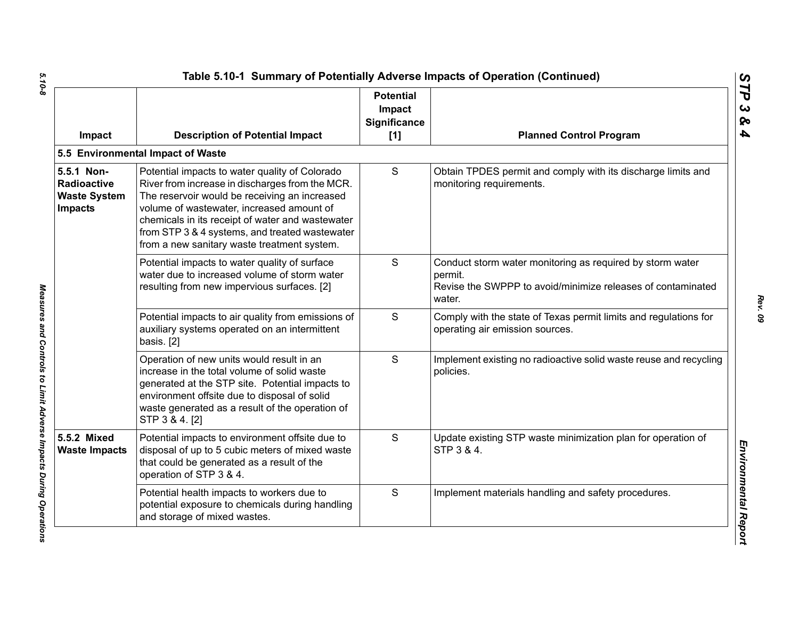| Impact                                                                    | <b>Description of Potential Impact</b>                                                                                                                                                                                                                                                                                                               | <b>Potential</b><br>Impact<br>Significance<br>[1] | <b>Planned Control Program</b>                                                                                                                |
|---------------------------------------------------------------------------|------------------------------------------------------------------------------------------------------------------------------------------------------------------------------------------------------------------------------------------------------------------------------------------------------------------------------------------------------|---------------------------------------------------|-----------------------------------------------------------------------------------------------------------------------------------------------|
|                                                                           | 5.5 Environmental Impact of Waste                                                                                                                                                                                                                                                                                                                    |                                                   |                                                                                                                                               |
| 5.5.1 Non-<br><b>Radioactive</b><br><b>Waste System</b><br><b>Impacts</b> | Potential impacts to water quality of Colorado<br>River from increase in discharges from the MCR.<br>The reservoir would be receiving an increased<br>volume of wastewater, increased amount of<br>chemicals in its receipt of water and wastewater<br>from STP 3 & 4 systems, and treated wastewater<br>from a new sanitary waste treatment system. | S                                                 | Obtain TPDES permit and comply with its discharge limits and<br>monitoring requirements.                                                      |
|                                                                           | Potential impacts to water quality of surface<br>water due to increased volume of storm water<br>resulting from new impervious surfaces. [2]                                                                                                                                                                                                         | S                                                 | Conduct storm water monitoring as required by storm water<br>permit.<br>Revise the SWPPP to avoid/minimize releases of contaminated<br>water. |
|                                                                           | Potential impacts to air quality from emissions of<br>auxiliary systems operated on an intermittent<br>basis. [2]                                                                                                                                                                                                                                    | S                                                 | Comply with the state of Texas permit limits and regulations for<br>operating air emission sources.                                           |
|                                                                           | Operation of new units would result in an<br>increase in the total volume of solid waste<br>generated at the STP site. Potential impacts to<br>environment offsite due to disposal of solid<br>waste generated as a result of the operation of<br>STP 3 & 4. [2]                                                                                     | S                                                 | Implement existing no radioactive solid waste reuse and recycling<br>policies.                                                                |
| 5.5.2 Mixed<br><b>Waste Impacts</b>                                       | Potential impacts to environment offsite due to<br>disposal of up to 5 cubic meters of mixed waste<br>that could be generated as a result of the<br>operation of STP 3 & 4.                                                                                                                                                                          | S                                                 | Update existing STP waste minimization plan for operation of<br>STP 3 & 4.                                                                    |
|                                                                           | Potential health impacts to workers due to<br>potential exposure to chemicals during handling<br>and storage of mixed wastes.                                                                                                                                                                                                                        | S                                                 | Implement materials handling and safety procedures.                                                                                           |

 $5.10 - 8$ *5.10-8 Measures and Controls to Limit Adverse Impacts During Operations* 

Measures and Controls to Limit Adverse Impacts During Operations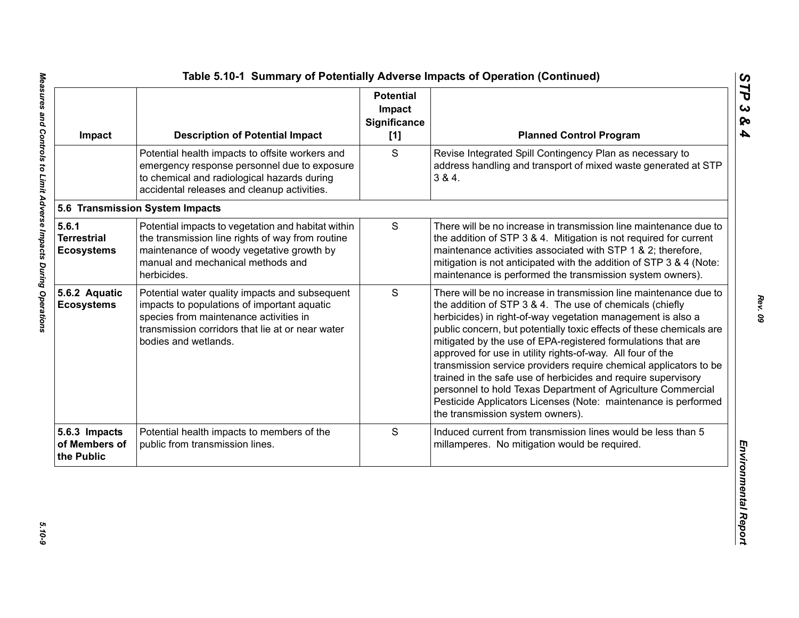| Impact                                           | <b>Description of Potential Impact</b>                                                                                                                                                                              | <b>Potential</b><br>Impact<br><b>Significance</b><br>[1] | <b>Planned Control Program</b>                                                                                                                                                                                                                                                                                                                                                                                                                                                                                                                                                                                                                                                                                 |
|--------------------------------------------------|---------------------------------------------------------------------------------------------------------------------------------------------------------------------------------------------------------------------|----------------------------------------------------------|----------------------------------------------------------------------------------------------------------------------------------------------------------------------------------------------------------------------------------------------------------------------------------------------------------------------------------------------------------------------------------------------------------------------------------------------------------------------------------------------------------------------------------------------------------------------------------------------------------------------------------------------------------------------------------------------------------------|
|                                                  | Potential health impacts to offsite workers and<br>emergency response personnel due to exposure<br>to chemical and radiological hazards during<br>accidental releases and cleanup activities.                       | S                                                        | Revise Integrated Spill Contingency Plan as necessary to<br>address handling and transport of mixed waste generated at STP<br>384.                                                                                                                                                                                                                                                                                                                                                                                                                                                                                                                                                                             |
|                                                  | 5.6 Transmission System Impacts                                                                                                                                                                                     |                                                          |                                                                                                                                                                                                                                                                                                                                                                                                                                                                                                                                                                                                                                                                                                                |
| 5.6.1<br><b>Terrestrial</b><br><b>Ecosystems</b> | Potential impacts to vegetation and habitat within<br>the transmission line rights of way from routine<br>maintenance of woody vegetative growth by<br>manual and mechanical methods and<br>herbicides.             | $\mathsf S$                                              | There will be no increase in transmission line maintenance due to<br>the addition of STP 3 & 4. Mitigation is not required for current<br>maintenance activities associated with STP 1 & 2; therefore,<br>mitigation is not anticipated with the addition of STP 3 & 4 (Note:<br>maintenance is performed the transmission system owners).                                                                                                                                                                                                                                                                                                                                                                     |
| 5.6.2 Aquatic<br><b>Ecosystems</b>               | Potential water quality impacts and subsequent<br>impacts to populations of important aquatic<br>species from maintenance activities in<br>transmission corridors that lie at or near water<br>bodies and wetlands. | S                                                        | There will be no increase in transmission line maintenance due to<br>the addition of STP 3 & 4. The use of chemicals (chiefly<br>herbicides) in right-of-way vegetation management is also a<br>public concern, but potentially toxic effects of these chemicals are<br>mitigated by the use of EPA-registered formulations that are<br>approved for use in utility rights-of-way. All four of the<br>transmission service providers require chemical applicators to be<br>trained in the safe use of herbicides and require supervisory<br>personnel to hold Texas Department of Agriculture Commercial<br>Pesticide Applicators Licenses (Note: maintenance is performed<br>the transmission system owners). |
| 5.6.3 Impacts<br>of Members of<br>the Public     | Potential health impacts to members of the<br>public from transmission lines.                                                                                                                                       | S                                                        | Induced current from transmission lines would be less than 5<br>millamperes. No mitigation would be required.                                                                                                                                                                                                                                                                                                                                                                                                                                                                                                                                                                                                  |

 $5.10 - 9$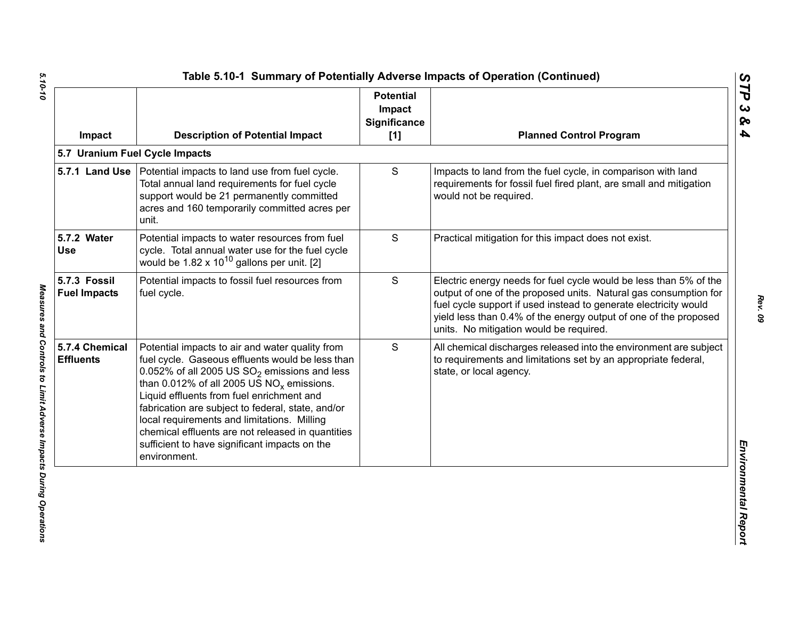| Impact                              | <b>Description of Potential Impact</b>                                                                                                                                                                                                                                                                                                                                                                                                                                        | <b>Potential</b><br>Impact<br><b>Significance</b><br>[1] | <b>Planned Control Program</b>                                                                                                                                                                                                                                                                                           |
|-------------------------------------|-------------------------------------------------------------------------------------------------------------------------------------------------------------------------------------------------------------------------------------------------------------------------------------------------------------------------------------------------------------------------------------------------------------------------------------------------------------------------------|----------------------------------------------------------|--------------------------------------------------------------------------------------------------------------------------------------------------------------------------------------------------------------------------------------------------------------------------------------------------------------------------|
|                                     | 5.7 Uranium Fuel Cycle Impacts                                                                                                                                                                                                                                                                                                                                                                                                                                                |                                                          |                                                                                                                                                                                                                                                                                                                          |
|                                     | 5.7.1 Land Use   Potential impacts to land use from fuel cycle.<br>Total annual land requirements for fuel cycle<br>support would be 21 permanently committed<br>acres and 160 temporarily committed acres per<br>unit.                                                                                                                                                                                                                                                       | S                                                        | Impacts to land from the fuel cycle, in comparison with land<br>requirements for fossil fuel fired plant, are small and mitigation<br>would not be required.                                                                                                                                                             |
| 5.7.2 Water<br><b>Use</b>           | Potential impacts to water resources from fuel<br>cycle. Total annual water use for the fuel cycle<br>would be $1.82 \times 10^{10}$ gallons per unit. [2]                                                                                                                                                                                                                                                                                                                    | S                                                        | Practical mitigation for this impact does not exist.                                                                                                                                                                                                                                                                     |
| 5.7.3 Fossil<br><b>Fuel Impacts</b> | Potential impacts to fossil fuel resources from<br>fuel cycle.                                                                                                                                                                                                                                                                                                                                                                                                                | S                                                        | Electric energy needs for fuel cycle would be less than 5% of the<br>output of one of the proposed units. Natural gas consumption for<br>fuel cycle support if used instead to generate electricity would<br>yield less than 0.4% of the energy output of one of the proposed<br>units. No mitigation would be required. |
| 5.7.4 Chemical<br><b>Effluents</b>  | Potential impacts to air and water quality from<br>fuel cycle. Gaseous effluents would be less than<br>0.052% of all 2005 US $SO_2$ emissions and less<br>than 0.012% of all 2005 US $NO_x$ emissions.<br>Liquid effluents from fuel enrichment and<br>fabrication are subject to federal, state, and/or<br>local requirements and limitations. Milling<br>chemical effluents are not released in quantities<br>sufficient to have significant impacts on the<br>environment. | S                                                        | All chemical discharges released into the environment are subject<br>to requirements and limitations set by an appropriate federal,<br>state, or local agency.                                                                                                                                                           |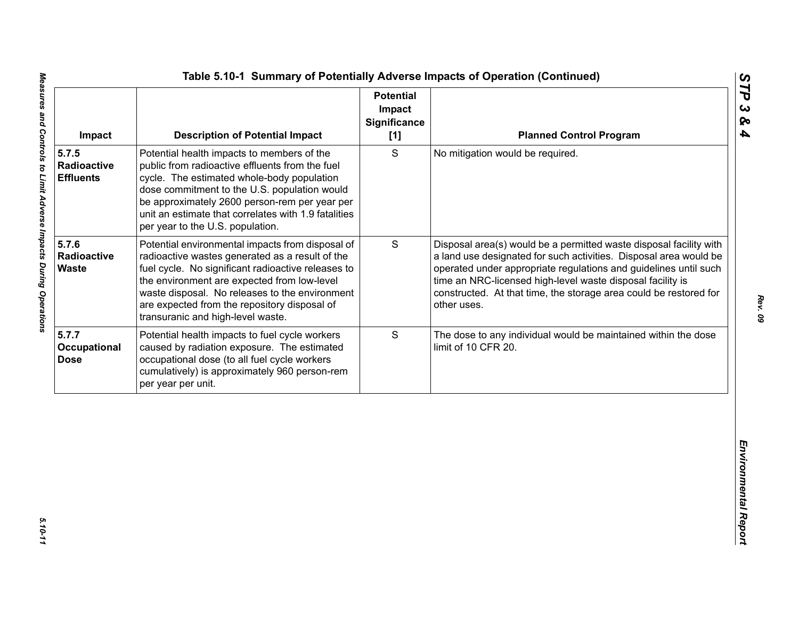| S<br>5.7.5<br>Potential health impacts to members of the<br>No mitigation would be required.<br>public from radioactive effluents from the fuel<br><b>Radioactive</b><br><b>Effluents</b><br>cycle. The estimated whole-body population<br>dose commitment to the U.S. population would<br>be approximately 2600 person-rem per year per<br>unit an estimate that correlates with 1.9 fatalities<br>per year to the U.S. population.<br>5.7.6<br>S<br>Potential environmental impacts from disposal of<br>Radioactive<br>radioactive wastes generated as a result of the<br>fuel cycle. No significant radioactive releases to<br><b>Waste</b><br>the environment are expected from low-level<br>time an NRC-licensed high-level waste disposal facility is<br>waste disposal. No releases to the environment<br>are expected from the repository disposal of<br>other uses.<br>transuranic and high-level waste.<br>S<br>Potential health impacts to fuel cycle workers<br>Occupational<br>caused by radiation exposure. The estimated<br>limit of 10 CFR 20.<br>occupational dose (to all fuel cycle workers | Impact | <b>Description of Potential Impact</b>        | <b>Potential</b><br>Impact<br>Significance<br>$[1]$ | <b>Planned Control Program</b>                                                                                                                                                                                                                                                   |
|----------------------------------------------------------------------------------------------------------------------------------------------------------------------------------------------------------------------------------------------------------------------------------------------------------------------------------------------------------------------------------------------------------------------------------------------------------------------------------------------------------------------------------------------------------------------------------------------------------------------------------------------------------------------------------------------------------------------------------------------------------------------------------------------------------------------------------------------------------------------------------------------------------------------------------------------------------------------------------------------------------------------------------------------------------------------------------------------------------------|--------|-----------------------------------------------|-----------------------------------------------------|----------------------------------------------------------------------------------------------------------------------------------------------------------------------------------------------------------------------------------------------------------------------------------|
|                                                                                                                                                                                                                                                                                                                                                                                                                                                                                                                                                                                                                                                                                                                                                                                                                                                                                                                                                                                                                                                                                                                |        |                                               |                                                     |                                                                                                                                                                                                                                                                                  |
| 5.7.7<br><b>Dose</b>                                                                                                                                                                                                                                                                                                                                                                                                                                                                                                                                                                                                                                                                                                                                                                                                                                                                                                                                                                                                                                                                                           |        |                                               |                                                     | Disposal area(s) would be a permitted waste disposal facility with<br>a land use designated for such activities. Disposal area would be<br>operated under appropriate regulations and guidelines until such<br>constructed. At that time, the storage area could be restored for |
| per year per unit.                                                                                                                                                                                                                                                                                                                                                                                                                                                                                                                                                                                                                                                                                                                                                                                                                                                                                                                                                                                                                                                                                             |        | cumulatively) is approximately 960 person-rem |                                                     | The dose to any individual would be maintained within the dose                                                                                                                                                                                                                   |
|                                                                                                                                                                                                                                                                                                                                                                                                                                                                                                                                                                                                                                                                                                                                                                                                                                                                                                                                                                                                                                                                                                                |        |                                               |                                                     |                                                                                                                                                                                                                                                                                  |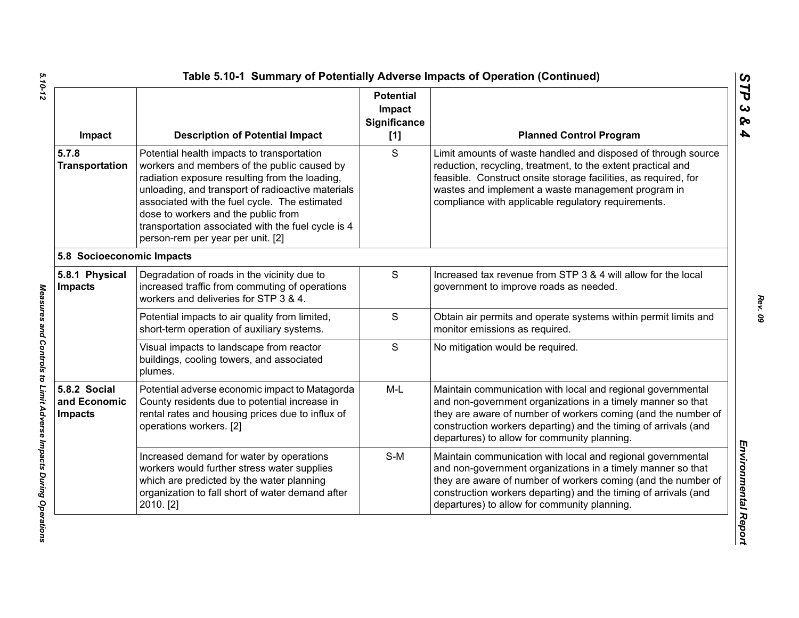| Impact                                         | <b>Description of Potential Impact</b>                                                                                                                                                                                                                                                                                                                                              | <b>Potential</b><br>Impact<br><b>Significance</b><br>[1] | <b>Planned Control Program</b>                                                                                                                                                                                                                                                                                 |
|------------------------------------------------|-------------------------------------------------------------------------------------------------------------------------------------------------------------------------------------------------------------------------------------------------------------------------------------------------------------------------------------------------------------------------------------|----------------------------------------------------------|----------------------------------------------------------------------------------------------------------------------------------------------------------------------------------------------------------------------------------------------------------------------------------------------------------------|
| 5.7.8<br><b>Transportation</b>                 | Potential health impacts to transportation<br>workers and members of the public caused by<br>radiation exposure resulting from the loading,<br>unloading, and transport of radioactive materials<br>associated with the fuel cycle. The estimated<br>dose to workers and the public from<br>transportation associated with the fuel cycle is 4<br>person-rem per year per unit. [2] | S                                                        | Limit amounts of waste handled and disposed of through source<br>reduction, recycling, treatment, to the extent practical and<br>feasible. Construct onsite storage facilities, as required, for<br>wastes and implement a waste management program in<br>compliance with applicable regulatory requirements.  |
| 5.8 Socioeconomic Impacts                      |                                                                                                                                                                                                                                                                                                                                                                                     |                                                          |                                                                                                                                                                                                                                                                                                                |
| 5.8.1 Physical<br><b>Impacts</b>               | Degradation of roads in the vicinity due to<br>increased traffic from commuting of operations<br>workers and deliveries for STP 3 & 4.                                                                                                                                                                                                                                              | ${\mathsf S}$                                            | Increased tax revenue from STP 3 & 4 will allow for the local<br>government to improve roads as needed.                                                                                                                                                                                                        |
|                                                | Potential impacts to air quality from limited,<br>short-term operation of auxiliary systems.                                                                                                                                                                                                                                                                                        | $\mathsf{S}$                                             | Obtain air permits and operate systems within permit limits and<br>monitor emissions as required.                                                                                                                                                                                                              |
|                                                | Visual impacts to landscape from reactor<br>buildings, cooling towers, and associated<br>plumes.                                                                                                                                                                                                                                                                                    | S                                                        | No mitigation would be required.                                                                                                                                                                                                                                                                               |
| 5.8.2 Social<br>and Economic<br><b>Impacts</b> | Potential adverse economic impact to Matagorda<br>County residents due to potential increase in<br>rental rates and housing prices due to influx of<br>operations workers. [2]                                                                                                                                                                                                      | $M-L$                                                    | Maintain communication with local and regional governmental<br>and non-government organizations in a timely manner so that<br>they are aware of number of workers coming (and the number of<br>construction workers departing) and the timing of arrivals (and<br>departures) to allow for community planning. |
|                                                | Increased demand for water by operations<br>workers would further stress water supplies<br>which are predicted by the water planning<br>organization to fall short of water demand after<br>2010. [2]                                                                                                                                                                               | $S-M$                                                    | Maintain communication with local and regional governmental<br>and non-government organizations in a timely manner so that<br>they are aware of number of workers coming (and the number of<br>construction workers departing) and the timing of arrivals (and<br>departures) to allow for community planning. |

Measures and Controls to Limit Adverse Impacts During Operations

*STP 3 & 4*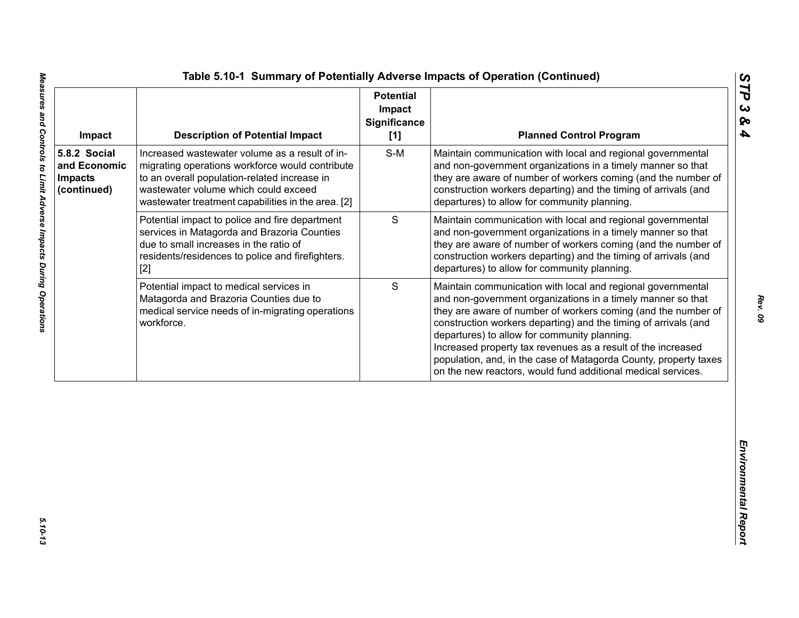| Impact                                                        | <b>Description of Potential Impact</b>                                                                                                                                                                                                          | <b>Potential</b><br>Impact<br><b>Significance</b><br>[1] | <b>Planned Control Program</b>                                                                                                                                                                                                                                                                                                                                                                                                                                                                                     |
|---------------------------------------------------------------|-------------------------------------------------------------------------------------------------------------------------------------------------------------------------------------------------------------------------------------------------|----------------------------------------------------------|--------------------------------------------------------------------------------------------------------------------------------------------------------------------------------------------------------------------------------------------------------------------------------------------------------------------------------------------------------------------------------------------------------------------------------------------------------------------------------------------------------------------|
| 5.8.2 Social<br>and Economic<br><b>Impacts</b><br>(continued) | Increased wastewater volume as a result of in-<br>migrating operations workforce would contribute<br>to an overall population-related increase in<br>wastewater volume which could exceed<br>wastewater treatment capabilities in the area. [2] | $S-M$                                                    | Maintain communication with local and regional governmental<br>and non-government organizations in a timely manner so that<br>they are aware of number of workers coming (and the number of<br>construction workers departing) and the timing of arrivals (and<br>departures) to allow for community planning.                                                                                                                                                                                                     |
|                                                               | Potential impact to police and fire department<br>services in Matagorda and Brazoria Counties<br>due to small increases in the ratio of<br>residents/residences to police and firefighters.<br>$[2]$                                            | $\mathbf S$                                              | Maintain communication with local and regional governmental<br>and non-government organizations in a timely manner so that<br>they are aware of number of workers coming (and the number of<br>construction workers departing) and the timing of arrivals (and<br>departures) to allow for community planning.                                                                                                                                                                                                     |
|                                                               | Potential impact to medical services in<br>Matagorda and Brazoria Counties due to<br>medical service needs of in-migrating operations<br>workforce.                                                                                             | S                                                        | Maintain communication with local and regional governmental<br>and non-government organizations in a timely manner so that<br>they are aware of number of workers coming (and the number of<br>construction workers departing) and the timing of arrivals (and<br>departures) to allow for community planning.<br>Increased property tax revenues as a result of the increased<br>population, and, in the case of Matagorda County, property taxes<br>on the new reactors, would fund additional medical services. |
|                                                               |                                                                                                                                                                                                                                                 |                                                          |                                                                                                                                                                                                                                                                                                                                                                                                                                                                                                                    |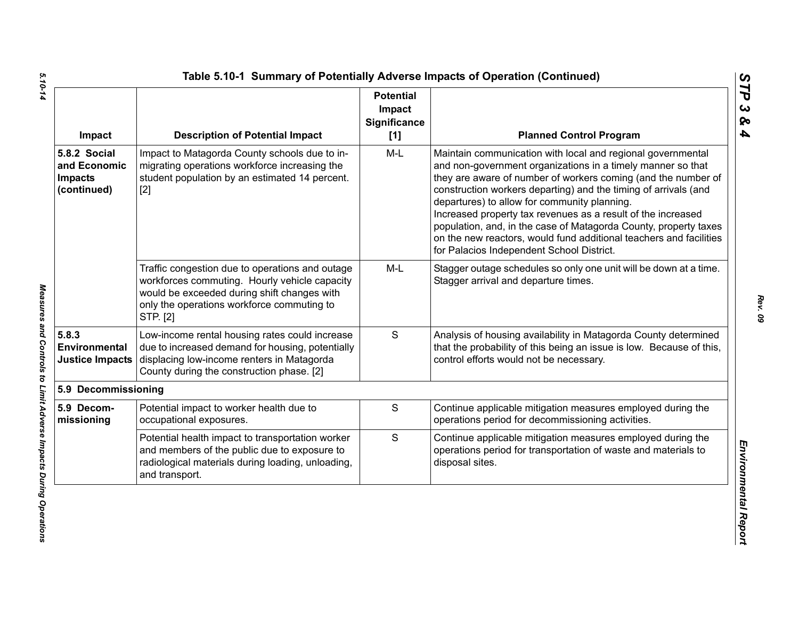| Impact                                                        | <b>Description of Potential Impact</b>                                                                                                                                                                    | <b>Potential</b><br>Impact<br><b>Significance</b><br>[1] | <b>Planned Control Program</b>                                                                                                                                                                                                                                                                                                                                                                                                                                                                                                                                        |
|---------------------------------------------------------------|-----------------------------------------------------------------------------------------------------------------------------------------------------------------------------------------------------------|----------------------------------------------------------|-----------------------------------------------------------------------------------------------------------------------------------------------------------------------------------------------------------------------------------------------------------------------------------------------------------------------------------------------------------------------------------------------------------------------------------------------------------------------------------------------------------------------------------------------------------------------|
| 5.8.2 Social<br>and Economic<br><b>Impacts</b><br>(continued) | Impact to Matagorda County schools due to in-<br>migrating operations workforce increasing the<br>student population by an estimated 14 percent.<br>$[2]$                                                 | $M-L$                                                    | Maintain communication with local and regional governmental<br>and non-government organizations in a timely manner so that<br>they are aware of number of workers coming (and the number of<br>construction workers departing) and the timing of arrivals (and<br>departures) to allow for community planning.<br>Increased property tax revenues as a result of the increased<br>population, and, in the case of Matagorda County, property taxes<br>on the new reactors, would fund additional teachers and facilities<br>for Palacios Independent School District. |
|                                                               | Traffic congestion due to operations and outage<br>workforces commuting. Hourly vehicle capacity<br>would be exceeded during shift changes with<br>only the operations workforce commuting to<br>STP. [2] | M-L                                                      | Stagger outage schedules so only one unit will be down at a time.<br>Stagger arrival and departure times.                                                                                                                                                                                                                                                                                                                                                                                                                                                             |
| 5.8.3<br>Environmental<br><b>Justice Impacts</b>              | Low-income rental housing rates could increase<br>due to increased demand for housing, potentially<br>displacing low-income renters in Matagorda<br>County during the construction phase. [2]             | S                                                        | Analysis of housing availability in Matagorda County determined<br>that the probability of this being an issue is low. Because of this,<br>control efforts would not be necessary.                                                                                                                                                                                                                                                                                                                                                                                    |
| 5.9 Decommissioning                                           |                                                                                                                                                                                                           |                                                          |                                                                                                                                                                                                                                                                                                                                                                                                                                                                                                                                                                       |
| 5.9 Decom-<br>missioning                                      | Potential impact to worker health due to<br>occupational exposures.                                                                                                                                       | S                                                        | Continue applicable mitigation measures employed during the<br>operations period for decommissioning activities.                                                                                                                                                                                                                                                                                                                                                                                                                                                      |
|                                                               | Potential health impact to transportation worker<br>and members of the public due to exposure to<br>radiological materials during loading, unloading,<br>and transport.                                   | S                                                        | Continue applicable mitigation measures employed during the<br>operations period for transportation of waste and materials to<br>disposal sites.                                                                                                                                                                                                                                                                                                                                                                                                                      |

5.10-14